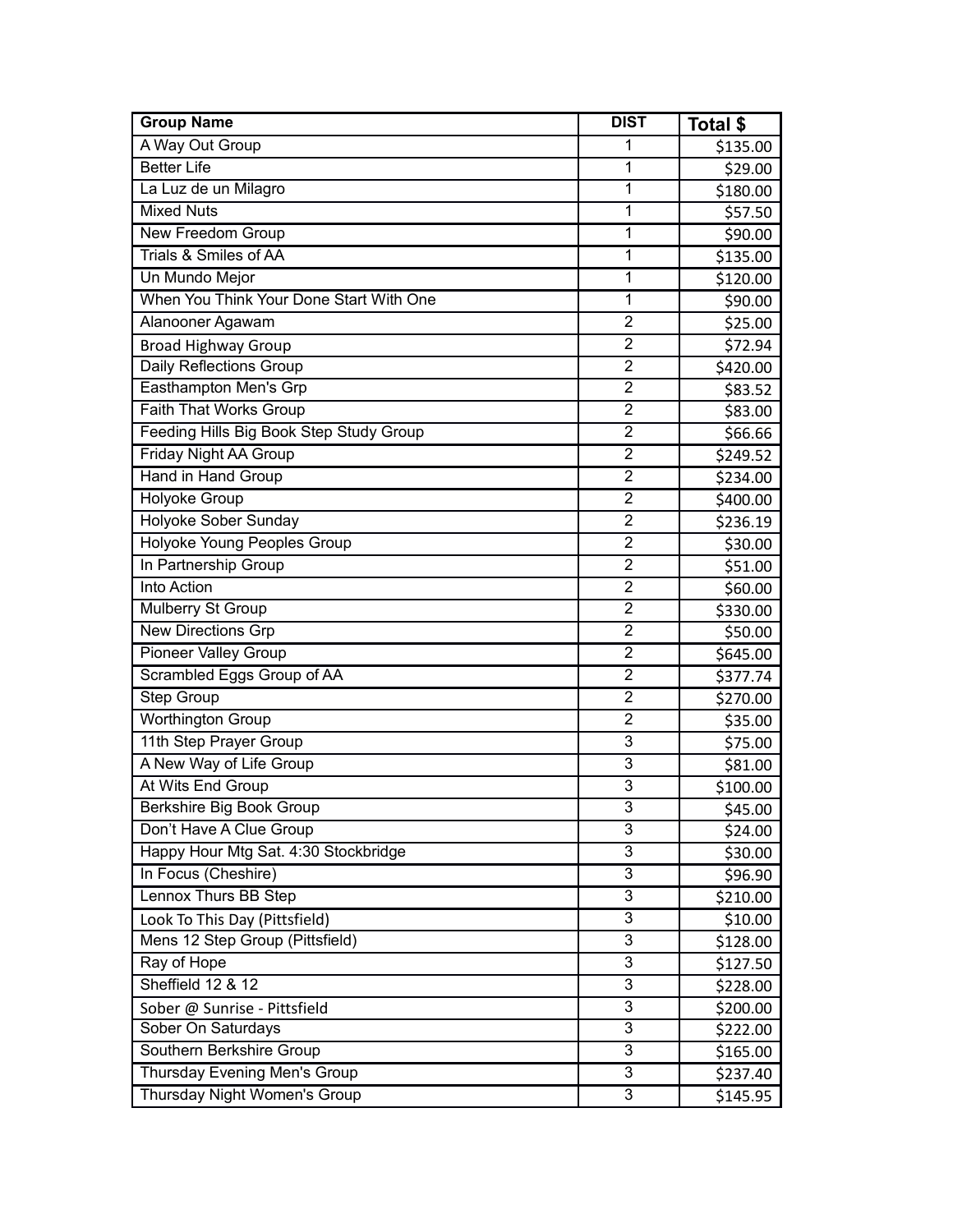| <b>Group Name</b>                       | <b>DIST</b>    | Total \$ |
|-----------------------------------------|----------------|----------|
| A Way Out Group                         | 1              | \$135.00 |
| <b>Better Life</b>                      | 1              | \$29.00  |
| La Luz de un Milagro                    | 1              | \$180.00 |
| <b>Mixed Nuts</b>                       | 1              | \$57.50  |
| New Freedom Group                       | 1              | \$90.00  |
| Trials & Smiles of AA                   | 1              | \$135.00 |
| Un Mundo Mejor                          | 1              | \$120.00 |
| When You Think Your Done Start With One | 1              | \$90.00  |
| Alanooner Agawam                        | $\overline{2}$ | \$25.00  |
| <b>Broad Highway Group</b>              | $\overline{2}$ | \$72.94  |
| Daily Reflections Group                 | $\overline{2}$ | \$420.00 |
| Easthampton Men's Grp                   | $\overline{2}$ | \$83.52  |
| <b>Faith That Works Group</b>           | $\overline{2}$ | \$83.00  |
| Feeding Hills Big Book Step Study Group | $\overline{2}$ | \$66.66  |
| <b>Friday Night AA Group</b>            | $\overline{2}$ | \$249.52 |
| Hand in Hand Group                      | $\overline{2}$ | \$234.00 |
| Holyoke Group                           | $\overline{2}$ | \$400.00 |
| Holyoke Sober Sunday                    | $\overline{2}$ | \$236.19 |
| Holyoke Young Peoples Group             | $\overline{2}$ | \$30.00  |
| In Partnership Group                    | $\overline{2}$ | \$51.00  |
| <b>Into Action</b>                      | $\overline{2}$ | \$60.00  |
| Mulberry St Group                       | $\overline{2}$ | \$330.00 |
| <b>New Directions Grp</b>               | $\overline{2}$ | \$50.00  |
| Pioneer Valley Group                    | $\overline{2}$ | \$645.00 |
| Scrambled Eggs Group of AA              | $\overline{2}$ | \$377.74 |
| Step Group                              | $\overline{2}$ | \$270.00 |
| Worthington Group                       | $\overline{2}$ | \$35.00  |
| 11th Step Prayer Group                  | $\overline{3}$ | \$75.00  |
| A New Way of Life Group                 | 3              | \$81.00  |
| At Wits End Group                       | $\overline{3}$ | \$100.00 |
| Berkshire Big Book Group                | $\overline{3}$ | \$45.00  |
| Don't Have A Clue Group                 | 3              | \$24.00  |
| Happy Hour Mtg Sat. 4:30 Stockbridge    | 3              | \$30.00  |
| In Focus (Cheshire)                     | $\overline{3}$ | \$96.90  |
| <b>Lennox Thurs BB Step</b>             | $\overline{3}$ | \$210.00 |
| Look To This Day (Pittsfield)           | 3              | \$10.00  |
| Mens 12 Step Group (Pittsfield)         | $\overline{3}$ | \$128.00 |
| Ray of Hope                             | $\overline{3}$ | \$127.50 |
| Sheffield 12 & 12                       | $\overline{3}$ | \$228.00 |
| Sober @ Sunrise - Pittsfield            | 3              | \$200.00 |
| Sober On Saturdays                      | 3              | \$222.00 |
| Southern Berkshire Group                | 3              | \$165.00 |
| Thursday Evening Men's Group            | $\overline{3}$ | \$237.40 |
| Thursday Night Women's Group            | $\mathbf{3}$   | \$145.95 |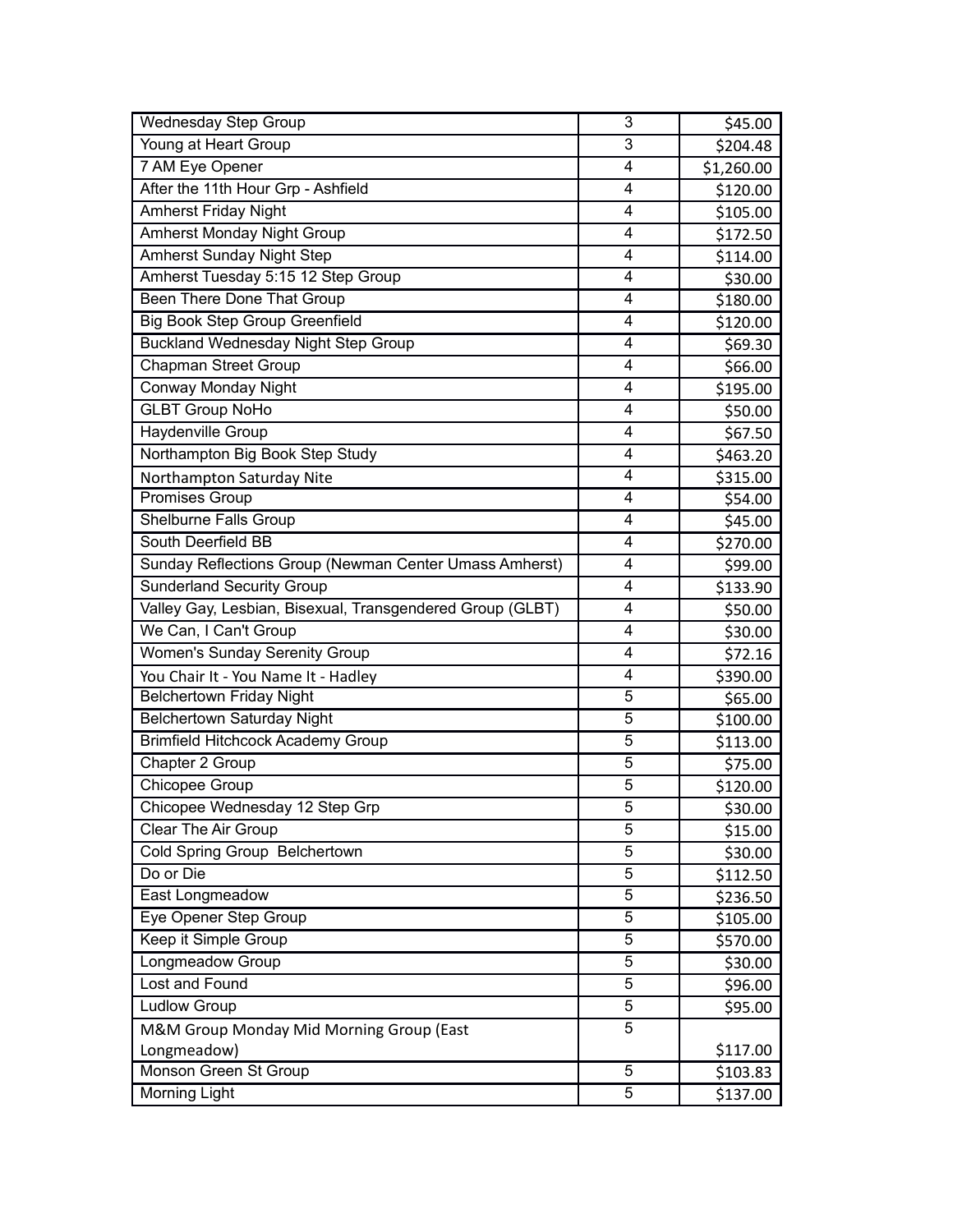| <b>Wednesday Step Group</b>                               | 3 | \$45.00    |
|-----------------------------------------------------------|---|------------|
| Young at Heart Group                                      | 3 | \$204.48   |
| 7 AM Eye Opener                                           | 4 | \$1,260.00 |
| After the 11th Hour Grp - Ashfield                        | 4 | \$120.00   |
| <b>Amherst Friday Night</b>                               | 4 | \$105.00   |
| <b>Amherst Monday Night Group</b>                         | 4 | \$172.50   |
| <b>Amherst Sunday Night Step</b>                          | 4 | \$114.00   |
| Amherst Tuesday 5:15 12 Step Group                        | 4 | \$30.00    |
| Been There Done That Group                                | 4 | \$180.00   |
| <b>Big Book Step Group Greenfield</b>                     | 4 | \$120.00   |
| <b>Buckland Wednesday Night Step Group</b>                | 4 | \$69.30    |
| <b>Chapman Street Group</b>                               | 4 | \$66.00    |
| <b>Conway Monday Night</b>                                | 4 | \$195.00   |
| <b>GLBT Group NoHo</b>                                    | 4 | \$50.00    |
| Haydenville Group                                         | 4 | \$67.50    |
| Northampton Big Book Step Study                           | 4 | \$463.20   |
| Northampton Saturday Nite                                 | 4 | \$315.00   |
| Promises Group                                            | 4 | \$54.00    |
| Shelburne Falls Group                                     | 4 | \$45.00    |
| South Deerfield BB                                        | 4 | \$270.00   |
| Sunday Reflections Group (Newman Center Umass Amherst)    | 4 | \$99.00    |
| <b>Sunderland Security Group</b>                          | 4 | \$133.90   |
| Valley Gay, Lesbian, Bisexual, Transgendered Group (GLBT) | 4 | \$50.00    |
| We Can, I Can't Group                                     | 4 | \$30.00    |
| Women's Sunday Serenity Group                             | 4 | \$72.16    |
| You Chair It - You Name It - Hadley                       | 4 | \$390.00   |
| <b>Belchertown Friday Night</b>                           | 5 | \$65.00    |
| Belchertown Saturday Night                                | 5 | \$100.00   |
| <b>Brimfield Hitchcock Academy Group</b>                  | 5 | \$113.00   |
| Chapter 2 Group                                           | 5 | \$75.00    |
| Chicopee Group                                            | 5 | \$120.00   |
| Chicopee Wednesday 12 Step Grp                            | 5 | \$30.00    |
| Clear The Air Group                                       | 5 | \$15.00    |
| Cold Spring Group Belchertown                             | 5 | \$30.00    |
| Do or Die                                                 | 5 | \$112.50   |
| East Longmeadow                                           | 5 | \$236.50   |
| Eye Opener Step Group                                     | 5 | \$105.00   |
| Keep it Simple Group                                      | 5 | \$570.00   |
| Longmeadow Group                                          | 5 | \$30.00    |
| Lost and Found                                            | 5 | \$96.00    |
| Ludlow Group                                              | 5 | \$95.00    |
| M&M Group Monday Mid Morning Group (East                  | 5 |            |
| Longmeadow)                                               |   | \$117.00   |
| Monson Green St Group                                     | 5 | \$103.83   |
| Morning Light                                             | 5 | \$137.00   |